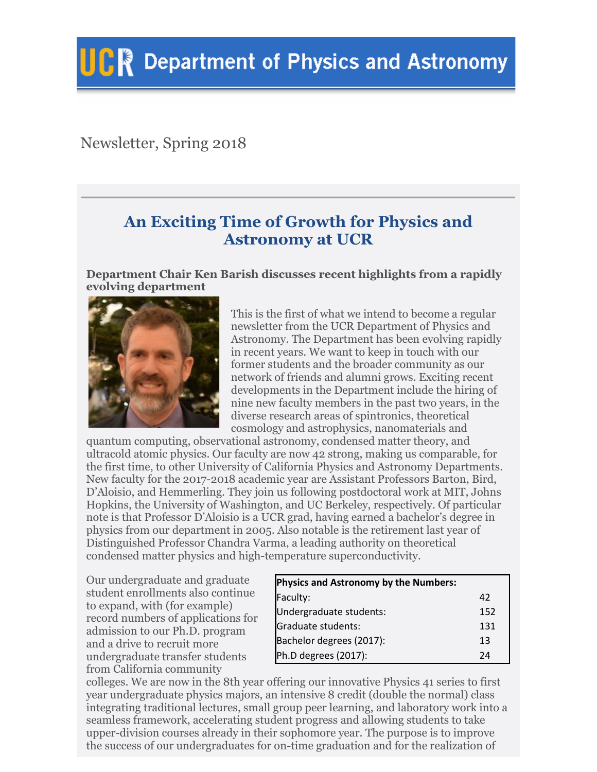# Newsletter, Spring 2018

# **An Exciting Time of Growth for Physics and Astronomy at UCR**

**Department Chair Ken Barish discusses recent highlights from a rapidly evolving department**



This is the first of what we intend to become a regular newsletter from the UCR Department of Physics and Astronomy. The Department has been evolving rapidly in recent years. We want to keep in touch with our former students and the broader community as our network of friends and alumni grows. Exciting recent developments in the Department include the hiring of nine new faculty members in the past two years, in the diverse research areas of spintronics, theoretical cosmology and astrophysics, nanomaterials and

quantum computing, observational astronomy, condensed matter theory, and ultracold atomic physics. Our faculty are now 42 strong, making us comparable, for the first time, to other University of California Physics and Astronomy Departments. New faculty for the 2017-2018 academic year are Assistant Professors Barton, Bird, D'Aloisio, and Hemmerling. They join us following postdoctoral work at MIT, Johns Hopkins, the University of Washington, and UC Berkeley, respectively. Of particular note is that Professor D'Aloisio is a UCR grad, having earned a bachelor's degree in physics from our department in 2005. Also notable is the retirement last year of Distinguished Professor Chandra Varma, a leading authority on theoretical condensed matter physics and high-temperature superconductivity.

Our undergraduate and graduate student enrollments also continue to expand, with (for example) record numbers of applications for admission to our Ph.D. program and a drive to recruit more undergraduate transfer students from California community

| Physics and Astronomy by the Numbers: |     |
|---------------------------------------|-----|
| Faculty:                              | 42  |
| Undergraduate students:               | 152 |
| Graduate students:                    | 131 |
| Bachelor degrees (2017):              | 13  |
| Ph.D degrees (2017):                  | 74  |

colleges. We are now in the 8th year offering our innovative Physics 41 series to first year undergraduate physics majors, an intensive 8 credit (double the normal) class integrating traditional lectures, small group peer learning, and laboratory work into a seamless framework, accelerating student progress and allowing students to take upper-division courses already in their sophomore year. The purpose is to improve the success of our undergraduates for on-time graduation and for the realization of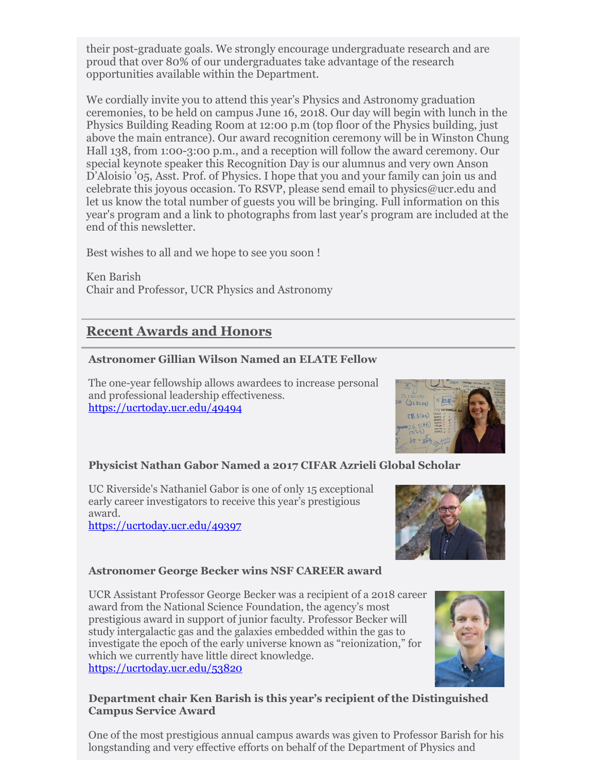their post-graduate goals. We strongly encourage undergraduate research and are proud that over 80% of our undergraduates take advantage of the research opportunities available within the Department.

We cordially invite you to attend this year's Physics and Astronomy graduation ceremonies, to be held on campus June 16, 2018. Our day will begin with lunch in the Physics Building Reading Room at 12:00 p.m (top floor of the Physics building, just above the main entrance). Our award recognition ceremony will be in Winston Chung Hall 138, from 1:00-3:00 p.m., and a reception will follow the award ceremony. Our special keynote speaker this Recognition Day is our alumnus and very own Anson D'Aloisio '05, Asst. Prof. of Physics. I hope that you and your family can join us and celebrate this joyous occasion. To RSVP, please send email to physics@ucr.edu and let us know the total number of guests you will be bringing. Full information on this year's program and a link to photographs from last year's program are included at the end of this newsletter.

Best wishes to all and we hope to see you soon !

Ken Barish Chair and Professor, UCR Physics and Astronomy

# **Recent Awards and Honors**

### **Astronomer Gillian Wilson Named an ELATE Fellow**

The one-year fellowship allows awardees to increase personal and professional leadership effectiveness. <https://ucrtoday.ucr.edu/49494>



### **Physicist Nathan Gabor Named a 2017 CIFAR Azrieli Global Scholar**

UC Riverside's Nathaniel Gabor is one of only 15 exceptional early career investigators to receive this year's prestigious award. <https://ucrtoday.ucr.edu/49397>



### **Astronomer George Becker wins NSF CAREER award**

UCR Assistant Professor George Becker was a recipient of a 2018 career award from the National Science Foundation, the agency's most prestigious award in support of junior faculty. Professor Becker will study intergalactic gas and the galaxies embedded within the gas to investigate the epoch of the early universe known as "reionization," for which we currently have little direct knowledge. <https://ucrtoday.ucr.edu/53820>



#### **Department chair Ken Barish is this year's recipient of the Distinguished Campus Service Award**

One of the most prestigious annual campus awards was given to Professor Barish for his longstanding and very effective efforts on behalf of the Department of Physics and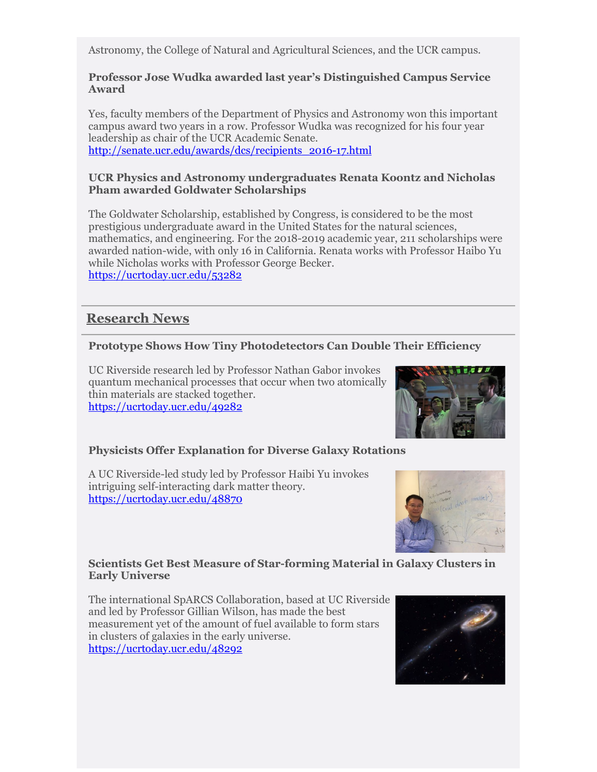Astronomy, the College of Natural and Agricultural Sciences, and the UCR campus.

#### **Professor Jose Wudka awarded last year's Distinguished Campus Service Award**

Yes, faculty members of the Department of Physics and Astronomy won this important campus award two years in a row. Professor Wudka was recognized for his four year leadership as chair of the UCR Academic Senate. [http://senate.ucr.edu/awards/dcs/recipients\\_2016-17.html](http://senate.ucr.edu/awards/dcs/recipients_2016-17.html)

#### **UCR Physics and Astronomy undergraduates Renata Koontz and Nicholas Pham awarded Goldwater Scholarships**

The Goldwater Scholarship, established by Congress, is considered to be the most prestigious undergraduate award in the United States for the natural sciences, mathematics, and engineering. For the 2018-2019 academic year, 211 scholarships were awarded nation-wide, with only 16 in California. Renata works with Professor Haibo Yu while Nicholas works with Professor George Becker. <https://ucrtoday.ucr.edu/53282>

## **Research News**

### **Prototype Shows How Tiny Photodetectors Can Double Their Efficiency**

UC Riverside research led by Professor Nathan Gabor invokes quantum mechanical processes that occur when two atomically thin materials are stacked together. <https://ucrtoday.ucr.edu/49282>



### **Physicists Offer Explanation for Diverse Galaxy Rotations**

A UC Riverside-led study led by Professor Haibi Yu invokes intriguing self-interacting dark matter theory. <https://ucrtoday.ucr.edu/48870>



#### **Scientists Get Best Measure of Star-forming Material in Galaxy Clusters in Early Universe**

The international SpARCS Collaboration, based at UC Riverside and led by Professor Gillian Wilson, has made the best measurement yet of the amount of fuel available to form stars in clusters of galaxies in the early universe. <https://ucrtoday.ucr.edu/48292>

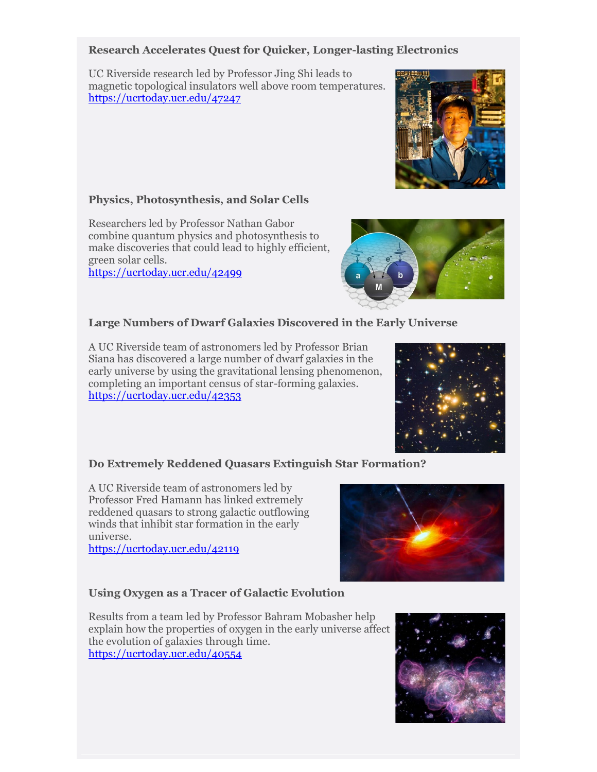#### **Research Accelerates Quest for Quicker, Longer-lasting Electronics**

UC Riverside research led by Professor Jing Shi leads to magnetic topological insulators well above room temperatures. <https://ucrtoday.ucr.edu/47247>

#### **Physics, Photosynthesis, and Solar Cells**

Researchers led by Professor Nathan Gabor combine quantum physics and photosynthesis to make discoveries that could lead to highly efficient, green solar cells. <https://ucrtoday.ucr.edu/42499>

#### **Large Numbers of Dwarf Galaxies Discovered in the Early Universe**

A UC Riverside team of astronomers led by Professor Brian Siana has discovered a large number of dwarf galaxies in the early universe by using the gravitational lensing phenomenon, completing an important census of star-forming galaxies. <https://ucrtoday.ucr.edu/42353>

#### **Do Extremely Reddened Quasars Extinguish Star Formation?**

A UC Riverside team of astronomers led by Professor Fred Hamann has linked extremely reddened quasars to strong galactic outflowing winds that inhibit star formation in the early universe.

<https://ucrtoday.ucr.edu/42119>

#### **Using Oxygen as a Tracer of Galactic Evolution**

Results from a team led by Professor Bahram Mobasher help explain how the properties of oxygen in the early universe affect the evolution of galaxies through time. <https://ucrtoday.ucr.edu/40554>









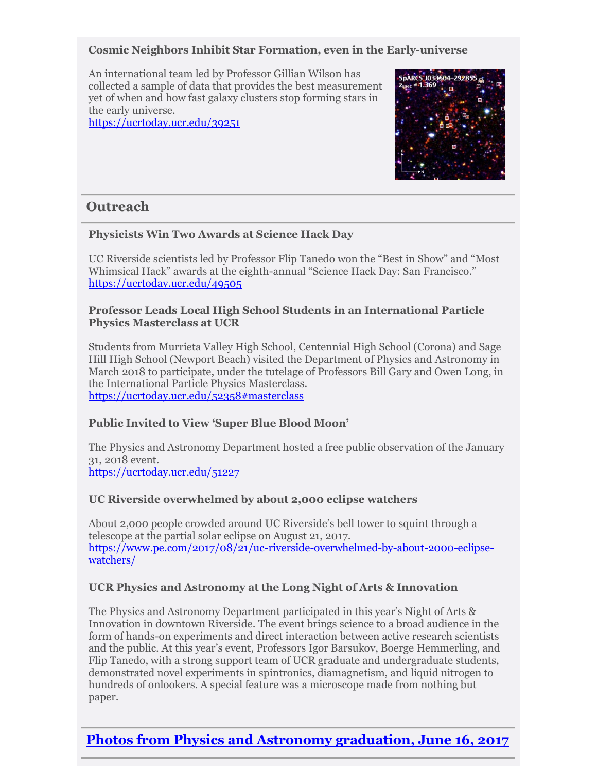#### **Cosmic Neighbors Inhibit Star Formation, even in the Early-universe**

An international team led by Professor Gillian Wilson has collected a sample of data that provides the best measurement yet of when and how fast galaxy clusters stop forming stars in the early universe.

<https://ucrtoday.ucr.edu/39251>



## **Outreach**

#### **Physicists Win Two Awards at Science Hack Day**

UC Riverside scientists led by Professor Flip Tanedo won the "Best in Show" and "Most Whimsical Hack" awards at the eighth-annual "Science Hack Day: San Francisco." <https://ucrtoday.ucr.edu/49505>

#### **Professor Leads Local High School Students in an International Particle Physics Masterclass at UCR**

Students from Murrieta Valley High School, Centennial High School (Corona) and Sage Hill High School (Newport Beach) visited the Department of Physics and Astronomy in March 2018 to participate, under the tutelage of Professors Bill Gary and Owen Long, in the International Particle Physics Masterclass. <https://ucrtoday.ucr.edu/52358#masterclass>

## **Public Invited to View 'Super Blue Blood Moon'**

The Physics and Astronomy Department hosted a free public observation of the January 31, 2018 event. <https://ucrtoday.ucr.edu/51227>

#### **UC Riverside overwhelmed by about 2,000 eclipse watchers**

About 2,000 people crowded around UC Riverside's bell tower to squint through a telescope at the partial solar eclipse on August 21, 2017. [https://www.pe.com/2017/08/21/uc-riverside-overwhelmed-by-about-2000-eclipse](https://www.pe.com/2017/08/21/uc-riverside-overwhelmed-by-about-2000-eclipse-watchers/)[watchers/](https://www.pe.com/2017/08/21/uc-riverside-overwhelmed-by-about-2000-eclipse-watchers/)

#### **UCR Physics and Astronomy at the Long Night of Arts & Innovation**

The Physics and Astronomy Department participated in this year's Night of Arts & Innovation in downtown Riverside. The event brings science to a broad audience in the form of hands-on experiments and direct interaction between active research scientists and the public. At this year's event, Professors Igor Barsukov, Boerge Hemmerling, and Flip Tanedo, with a strong support team of UCR graduate and undergraduate students, demonstrated novel experiments in spintronics, diamagnetism, and liquid nitrogen to hundreds of onlookers. A special feature was a microscope made from nothing but paper.

## **[Photos from Physics and Astronomy graduation, June 16, 2017](https://1drv.ms/a/s!Ah13QhoqJXS-hhAskNrmz0x8yaiJ)**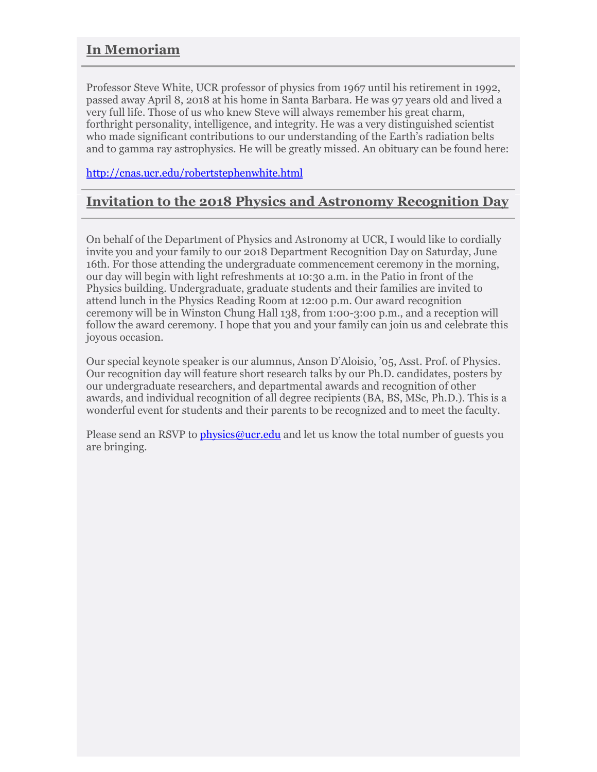## **In Memoriam**

Professor Steve White, UCR professor of physics from 1967 until his retirement in 1992, passed away April 8, 2018 at his home in Santa Barbara. He was 97 years old and lived a very full life. Those of us who knew Steve will always remember his great charm, forthright personality, intelligence, and integrity. He was a very distinguished scientist who made significant contributions to our understanding of the Earth's radiation belts and to gamma ray astrophysics. He will be greatly missed. An obituary can be found here:

<http://cnas.ucr.edu/robertstephenwhite.html>

## **Invitation to the 2018 Physics and Astronomy Recognition Day**

On behalf of the Department of Physics and Astronomy at UCR, I would like to cordially invite you and your family to our 2018 Department Recognition Day on Saturday, June 16th. For those attending the undergraduate commencement ceremony in the morning, our day will begin with light refreshments at 10:30 a.m. in the Patio in front of the Physics building. Undergraduate, graduate students and their families are invited to attend lunch in the Physics Reading Room at 12:00 p.m. Our award recognition ceremony will be in Winston Chung Hall 138, from 1:00-3:00 p.m., and a reception will follow the award ceremony. I hope that you and your family can join us and celebrate this joyous occasion.

Our special keynote speaker is our alumnus, Anson D'Aloisio, '05, Asst. Prof. of Physics. Our recognition day will feature short research talks by our Ph.D. candidates, posters by our undergraduate researchers, and departmental awards and recognition of other awards, and individual recognition of all degree recipients (BA, BS, MSc, Ph.D.). This is a wonderful event for students and their parents to be recognized and to meet the faculty.

Please send an RSVP to [physics@ucr.edu](mailto:physics@ucr.edu) and let us know the total number of guests you are bringing.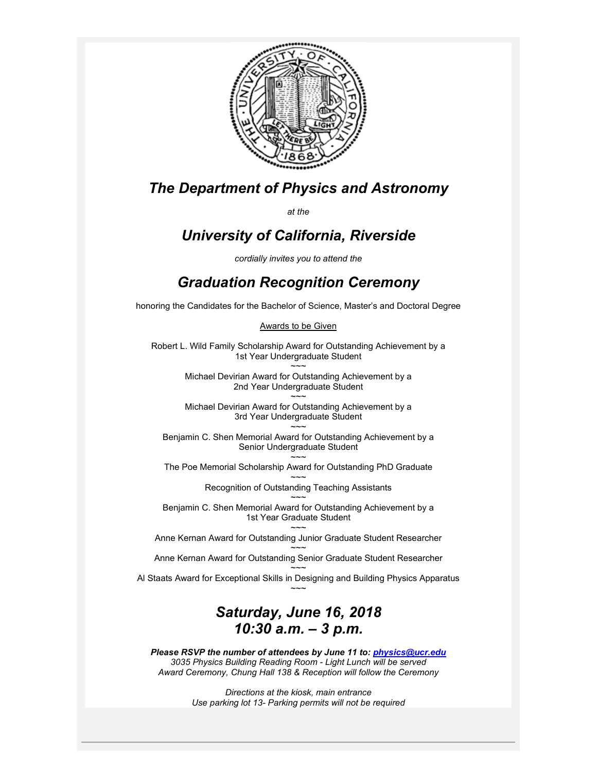

# *The Department of Physics and Astronomy*

*at the* 

# *University of California, Riverside*

*cordially invites you to attend the* 

# *Graduation Recognition Ceremony*

honoring the Candidates for the Bachelor of Science, Master's and Doctoral Degree

Awards to be Given

Robert L. Wild Family Scholarship Award for Outstanding Achievement by a 1st Year Undergraduate Student  $\sim$   $\sim$ 

Michael Devirian Award for Outstanding Achievement by a 2nd Year Undergraduate Student

 $\sim$  $\sim$ Michael Devirian Award for Outstanding Achievement by a 3rd Year Undergraduate Student

 $\sim$  $\sim$ Benjamin C. Shen Memorial Award for Outstanding Achievement by a Senior Undergraduate Student

 $\sim$   $\sim$ The Poe Memorial Scholarship Award for Outstanding PhD Graduate

> $\sim$   $\sim$ Recognition of Outstanding Teaching Assistants

 $\sim$   $\sim$ Benjamin C. Shen Memorial Award for Outstanding Achievement by a 1st Year Graduate Student

 $\sim$   $\sim$ Anne Kernan Award for Outstanding Junior Graduate Student Researcher  $\sim$   $\sim$ 

Anne Kernan Award for Outstanding Senior Graduate Student Researcher  $\sim$   $\sim$ 

Al Staats Award for Exceptional Skills in Designing and Building Physics Apparatus  $\sim$   $\sim$ 

# *Saturday, June 16, 2018 10:30 a.m. – 3 p.m.*

*Please RSVP the number of attendees by June 11 to[: physics@ucr.edu](mailto:physics@ucr.edu) 3035 Physics Building Reading Room - Light Lunch will be served Award Ceremony, Chung Hall 138 & Reception will follow the Ceremony*

> *Directions at the kiosk, main entrance Use parking lot 13- Parking permits will not be required*